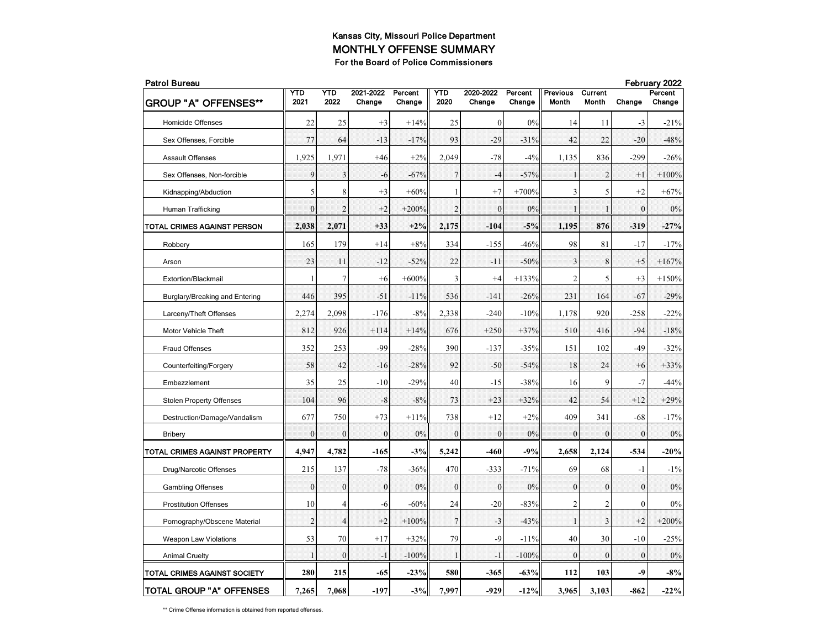| <b>Patrol Bureau</b>            |                |                |                     |                   |                 |                     |                   |                          |                  |              | February 2022     |  |  |
|---------------------------------|----------------|----------------|---------------------|-------------------|-----------------|---------------------|-------------------|--------------------------|------------------|--------------|-------------------|--|--|
| <b>GROUP "A" OFFENSES**</b>     | YTD<br>2021    | YTD<br>2022    | 2021-2022<br>Change | Percent<br>Change | YTD<br>2020     | 2020-2022<br>Change | Percent<br>Change | <b>Previous</b><br>Month | Current<br>Month | Change       | Percent<br>Change |  |  |
| <b>Homicide Offenses</b>        | 22             | 25             | $+3$                | $+14%$            | 25              | $\boldsymbol{0}$    | 0%                | 14                       | 11               | $-3$         | $-21%$            |  |  |
| Sex Offenses, Forcible          | 77             | 64             | $-13$               | $-17%$            | 93              | $-29$               | $-31%$            | 42                       | 22               | $-20$        | $-48%$            |  |  |
| Assault Offenses                | 1,925          | 1,971          | $+46$               | $+2%$             | 2,049           | $-78$               | $-4%$             | 1,135                    | 836              | $-299$       | $-26%$            |  |  |
| Sex Offenses, Non-forcible      | 9              | 3              | $-6$                | $-67%$            | $7\phantom{.0}$ | $-4$                | $-57%$            | 1                        | $\overline{2}$   | $+1$         | $+100%$           |  |  |
| Kidnapping/Abduction            | 5              | 8              | $+3$                | $+60%$            | $\mathbf{1}$    | $+7$                | $+700%$           | 3                        | 5                | $+2$         | $+67%$            |  |  |
| Human Trafficking               | $\mathbf{0}$   | $\overline{2}$ | $+2$                | $+200%$           | $\overline{2}$  | $\mathbf{0}$        | 0%                | $\mathbf{1}$             | $\mathbf{1}$     | $\mathbf{0}$ | 0%                |  |  |
| TOTAL CRIMES AGAINST PERSON     | 2,038          | 2,071          | $+33$               | $+2%$             | 2,175           | $-104$              | $-5%$             | 1,195                    | 876              | $-319$       | $-27%$            |  |  |
| Robbery                         | 165            | 179            | $+14$               | $+8%$             | 334             | $-155$              | $-46%$            | 98                       | 81               | $-17$        | $-17%$            |  |  |
| Arson                           | 23             | 11             | $-12$               | $-52%$            | 22              | $-11$               | $-50%$            | 3                        | 8                | $+5$         | $+167%$           |  |  |
| Extortion/Blackmail             | 1              | 7              | $+6$                | $+600%$           | 3               | $+4$                | $+133%$           | $\overline{c}$           | 5                | $+3$         | $+150%$           |  |  |
| Burglary/Breaking and Entering  | 446            | 395            | $-51$               | $-11%$            | 536             | $-141$              | $-26%$            | 231                      | 164              | $-67$        | $-29%$            |  |  |
| Larceny/Theft Offenses          | 2,274          | 2,098          | $-176$              | $-8%$             | 2,338           | $-240$              | $-10%$            | 1,178                    | 920              | $-258$       | -22%              |  |  |
| Motor Vehicle Theft             | 812            | 926            | $+114$              | $+14%$            | 676             | $+250$              | $+37%$            | 510                      | 416              | $-94$        | $-18%$            |  |  |
| Fraud Offenses                  | 352            | 253            | $-99$               | $-28%$            | 390             | $-137$              | $-35%$            | 151                      | 102              | $-49$        | $-32%$            |  |  |
| Counterfeiting/Forgery          | 58             | 42             | $-16$               | $-28%$            | 92              | $-50$               | $-54%$            | 18                       | 24               | $+6$         | $+33%$            |  |  |
| Embezzlement                    | 35             | 25             | $-10$               | $-29%$            | 40              | $-15$               | $-38%$            | 16                       | 9                | $-7$         | $-44%$            |  |  |
| <b>Stolen Property Offenses</b> | 104            | 96             | $-8$                | $-8%$             | 73              | $+23$               | $+32%$            | 42                       | 54               | $+12$        | $+29%$            |  |  |
| Destruction/Damage/Vandalism    | 677            | 750            | $+73$               | $+11%$            | 738             | $+12$               | $+2%$             | 409                      | 341              | -68          | $-17%$            |  |  |
| Bribery                         | $\mathbf{0}$   | $\theta$       | $\overline{0}$      | 0%                | $\mathbf{0}$    | $\mathbf{0}$        | 0%                | $\mathbf{0}$             | $\mathbf{0}$     | $\mathbf{0}$ | 0%                |  |  |
| TOTAL CRIMES AGAINST PROPERTY   | 4,947          | 4,782          | $-165$              | $-3%$             | 5,242           | -460                | $-9%$             | 2,658                    | 2,124            | $-534$       | $-20%$            |  |  |
| Drug/Narcotic Offenses          | 215            | 137            | $-78$               | $-36%$            | 470             | $-333$              | $-71%$            | 69                       | 68               | $-1$         | $-1\%$            |  |  |
| <b>Gambling Offenses</b>        | $\mathbf{0}$   | $\mathbf{0}$   | $\overline{0}$      | 0%                | $\mathbf{0}$    | $\mathbf{0}$        | $0\%$             | $\mathbf{0}$             | $\mathbf{0}$     | $\mathbf{0}$ | 0%                |  |  |
| <b>Prostitution Offenses</b>    | 10             | 4              | $-6$                | $-60%$            | 24              | $-20$               | $-83%$            | $\overline{c}$           | $\overline{c}$   | $\mathbf{0}$ | 0%                |  |  |
| Pornography/Obscene Material    | $\overline{2}$ | $\overline{4}$ | $+2$                | $+100%$           | $\overline{7}$  | $-3$                | $-43%$            | 1                        | 3                | $+2$         | $+200%$           |  |  |
| <b>Weapon Law Violations</b>    | 53             | 70             | $+17$               | $+32%$            | 79              | $-9$                | $-11%$            | 40                       | 30               | $-10$        | $-25%$            |  |  |
| <b>Animal Cruelty</b>           | $\mathbf{1}$   | $\theta$       | -1                  | $-100%$           | $\mathbf{1}$    | $-1$                | $-100%$           | $\theta$                 | $\mathbf{0}$     | $\theta$     | $0\%$             |  |  |
| TOTAL CRIMES AGAINST SOCIETY    | 280            | 215            | -65                 | $-23%$            | 580             | $-365$              | $-63%$            | 112                      | 103              | -9           | $-8%$             |  |  |
| TOTAL GROUP "A" OFFENSES        | 7,265          | 7,068          | $-197$              | $-3%$             | 7,997           | $-929$              | $-12%$            | 3,965                    | 3,103            | $-862$       | $-22%$            |  |  |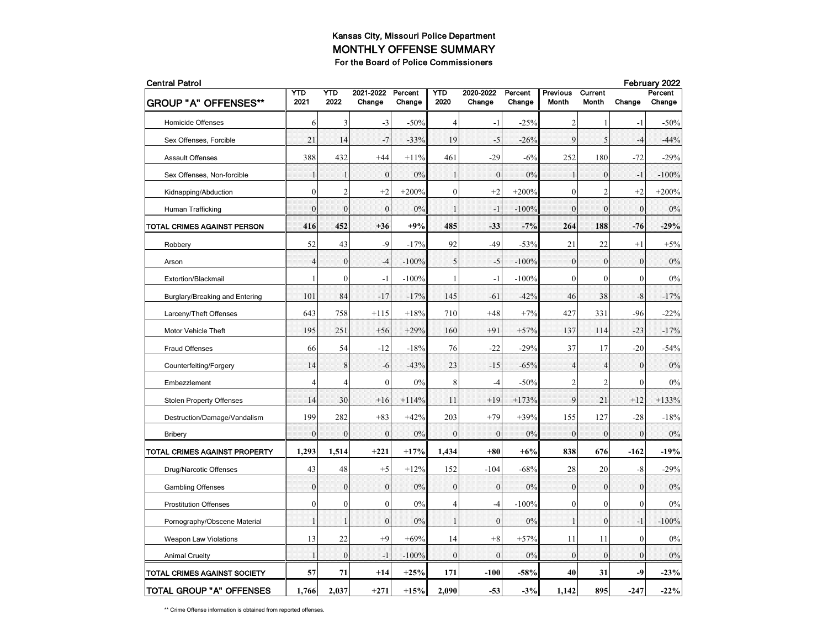| <b>Central Patrol</b>           |                  |                  |                     |                   |                |                     |                   |                   |                         | February 2022 |                   |  |  |
|---------------------------------|------------------|------------------|---------------------|-------------------|----------------|---------------------|-------------------|-------------------|-------------------------|---------------|-------------------|--|--|
| <b>GROUP "A" OFFENSES**</b>     | YTD<br>2021      | YTD<br>2022      | 2021-2022<br>Change | Percent<br>Change | YTD<br>2020    | 2020-2022<br>Change | Percent<br>Change | Previous<br>Month | Current<br><b>Month</b> | Change        | Percent<br>Change |  |  |
| <b>Homicide Offenses</b>        | 6                | 3                | $-3$                | $-50%$            | $\overline{4}$ | $-1$                | $-25%$            | 2                 | 1                       | $-1$          | $-50%$            |  |  |
| Sex Offenses, Forcible          | 21               | 14               | $-7$                | $-33%$            | 19             | $-5$                | $-26%$            | 9                 | 5                       | $-4$          | $-44%$            |  |  |
| <b>Assault Offenses</b>         | 388              | 432              | $+44$               | $+11%$            | 461            | $-29$               | $-6%$             | 252               | 180                     | $-72$         | $-29%$            |  |  |
| Sex Offenses, Non-forcible      | $\mathbf 1$      | 1                | $\overline{0}$      | 0%                | $\mathbf{1}$   | $\mathbf{0}$        | 0%                | $\mathbf{1}$      | $\boldsymbol{0}$        | $-1$          | $-100%$           |  |  |
| Kidnapping/Abduction            | $\mathbf{0}$     | $\overline{c}$   | $+2$                | $+200%$           | $\mathbf{0}$   | $+2$                | $+200%$           | $\mathbf{0}$      | $\overline{c}$          | $+2$          | $+200%$           |  |  |
| Human Trafficking               | $\theta$         | $\theta$         | $\theta$            | 0%                | $\mathbf{1}$   | - 1                 | $-100%$           | $\mathbf{0}$      | $\theta$                | $\theta$      | 0%                |  |  |
| TOTAL CRIMES AGAINST PERSON     | 416              | 452              | $+36$               | $+9%$             | 485            | $-33$               | $-7%$             | 264               | 188                     | $-76$         | $-29%$            |  |  |
| Robbery                         | 52               | 43               | $-9$                | $-17%$            | 92             | $-49$               | $-53%$            | 21                | 22                      | $+1$          | $+5%$             |  |  |
| Arson                           | $\overline{4}$   | $\boldsymbol{0}$ | $-4$                | $-100%$           | 5              | $-5$                | $-100%$           | $\boldsymbol{0}$  | $\mathbf{0}$            | $\mathbf{0}$  | 0%                |  |  |
| Extortion/Blackmail             | $\mathbf{1}$     | $\mathbf{0}$     | $-1$                | $-100%$           | 1              | $-1$                | $-100%$           | $\mathbf{0}$      | $\mathbf{0}$            | $\mathbf{0}$  | 0%                |  |  |
| Burglary/Breaking and Entering  | 101              | 84               | $-17$               | $-17%$            | 145            | $-61$               | $-42%$            | 46                | 38                      | -8            | $-17%$            |  |  |
| Larceny/Theft Offenses          | 643              | 758              | $+115$              | $+18%$            | 710            | $+48$               | $+7%$             | 427               | 331                     | $-96$         | $-22%$            |  |  |
| Motor Vehicle Theft             | 195              | 251              | $+56$               | $+29%$            | 160            | $+91$               | $+57%$            | 137               | 114                     | $-23$         | $-17%$            |  |  |
| <b>Fraud Offenses</b>           | 66               | 54               | $-12$               | $-18%$            | 76             | $-22$               | $-29%$            | 37                | 17                      | $-20$         | $-54%$            |  |  |
| Counterfeiting/Forgery          | 14               | 8                | $-6$                | $-43%$            | 23             | $-15$               | $-65%$            | $\overline{4}$    | $\overline{4}$          | $\mathbf{0}$  | 0%                |  |  |
| Embezzlement                    | $\overline{4}$   | 4                | $\mathbf{0}$        | 0%                | 8              | $-4$                | $-50%$            | 2                 | 2                       | $\mathbf{0}$  | 0%                |  |  |
| <b>Stolen Property Offenses</b> | 14               | 30               | $+16$               | $+114%$           | 11             | $+19$               | $+173%$           | 9                 | 21                      | $+12$         | $+133%$           |  |  |
| Destruction/Damage/Vandalism    | 199              | 282              | $+83$               | $+42%$            | 203            | $+79$               | $+39%$            | 155               | 127                     | $-28$         | $-18%$            |  |  |
| <b>Bribery</b>                  | $\overline{0}$   | $\mathbf{0}$     | $\overline{0}$      | 0%                | $\mathbf{0}$   | $\mathbf{0}$        | 0%                | $\boldsymbol{0}$  | $\mathbf{0}$            | $\mathbf{0}$  | 0%                |  |  |
| TOTAL CRIMES AGAINST PROPERTY   | 1,293            | 1,514            | $+221$              | $+17%$            | 1,434          | $+80$               | $+6%$             | 838               | 676                     | $-162$        | $-19%$            |  |  |
| Drug/Narcotic Offenses          | 43               | 48               | $+5$                | $+12%$            | 152            | $-104$              | $-68%$            | 28                | 20                      | -8            | $-29%$            |  |  |
| <b>Gambling Offenses</b>        | $\Omega$         | $\mathbf{0}$     | $\mathbf{0}$        | 0%                | $\mathbf{0}$   | $\mathbf{0}$        | 0%                | $\mathbf{0}$      | $\theta$                | $\theta$      | 0%                |  |  |
| <b>Prostitution Offenses</b>    | $\boldsymbol{0}$ | $\boldsymbol{0}$ | $\boldsymbol{0}$    | 0%                | $\overline{4}$ | $-4$                | $-100%$           | $\boldsymbol{0}$  | $\mathbf{0}$            | $\theta$      | 0%                |  |  |
| Pornography/Obscene Material    | $\mathbf{1}$     | $\mathbf{1}$     | $\mathbf{0}$        | 0%                | $\mathbf{1}$   | $\mathbf{0}$        | $0\%$             | $\mathbf{1}$      | $\mathbf{0}$            | $-1$          | $-100%$           |  |  |
| <b>Weapon Law Violations</b>    | 13               | 22               | $+9$                | $+69%$            | 14             | $+8$                | $+57%$            | 11                | 11                      | $\mathbf{0}$  | 0%                |  |  |
| <b>Animal Cruelty</b>           | 1                | $\mathbf{0}$     | $-1$                | $-100%$           | $\theta$       | $\theta$            | 0%                | $\mathbf{0}$      | $\theta$                | $\theta$      | 0%                |  |  |
| TOTAL CRIMES AGAINST SOCIETY    | 57               | 71               | $+14$               | $+25%$            | 171            | $-100$              | $-58%$            | 40                | 31                      | -9            | $-23%$            |  |  |
| TOTAL GROUP "A" OFFENSES        | 1,766            | 2,037            | $+271$              | $+15%$            | 2,090          | $-53$               | $-3%$             | 1,142             | 895                     | $-247$        | $-22%$            |  |  |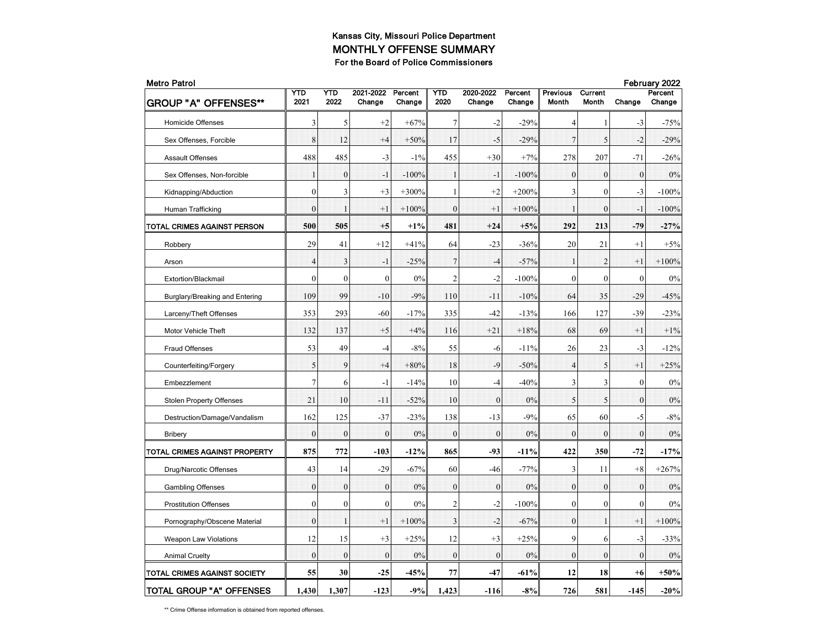| <b>Metro Patrol</b>             |                  |                  |                     |                   |                |                     |                   |                   |                         | February 2022    |                   |  |
|---------------------------------|------------------|------------------|---------------------|-------------------|----------------|---------------------|-------------------|-------------------|-------------------------|------------------|-------------------|--|
| <b>GROUP "A" OFFENSES**</b>     | YTD<br>2021      | YTD<br>2022      | 2021-2022<br>Change | Percent<br>Change | YTD<br>2020    | 2020-2022<br>Change | Percent<br>Change | Previous<br>Month | Current<br><b>Month</b> | Change           | Percent<br>Change |  |
| <b>Homicide Offenses</b>        | 3                | 5                | $+2$                | $+67%$            | 7              | $-2$                | $-29%$            | 4                 | 1                       | $-3$             | $-75%$            |  |
| Sex Offenses, Forcible          | 8                | 12               | $+4$                | $+50%$            | 17             | $-5$                | $-29%$            | $\overline{7}$    | 5                       | $-2$             | $-29%$            |  |
| <b>Assault Offenses</b>         | 488              | 485              | $-3$                | $-1\%$            | 455            | $+30$               | $+7%$             | 278               | 207                     | $-71$            | $-26%$            |  |
| Sex Offenses, Non-forcible      | $\mathbf 1$      | $\boldsymbol{0}$ | $-1$                | $-100%$           | $\mathbf{1}$   | $-1$                | $-100%$           | $\mathbf{0}$      | $\mathbf{0}$            | $\boldsymbol{0}$ | 0%                |  |
| Kidnapping/Abduction            | $\mathbf{0}$     | 3                | $+3$                | $+300%$           | 1              | $+2$                | $+200%$           | 3                 | $\theta$                | -3               | $-100%$           |  |
| Human Trafficking               | $\theta$         |                  | $+1$                | $+100%$           | $\theta$       | $+1$                | $+100%$           | $\mathbf{1}$      | $\theta$                | $-1$             | $-100%$           |  |
| TOTAL CRIMES AGAINST PERSON     | 500              | 505              | $+5$                | $+1\%$            | 481            | $+24$               | $+5%$             | 292               | 213                     | $-79$            | $-27%$            |  |
| Robbery                         | 29               | 41               | $+12$               | $+41%$            | 64             | $-23$               | $-36%$            | 20                | 21                      | $+1$             | $+5%$             |  |
| Arson                           | $\overline{4}$   | 3                | $-1$                | $-25%$            | $\overline{7}$ | $-4$                | $-57%$            | $\mathbf 1$       | $\overline{2}$          | $+1$             | $+100%$           |  |
| Extortion/Blackmail             | $\mathbf{0}$     | $\mathbf{0}$     | $\mathbf{0}$        | 0%                | $\mathfrak{2}$ | $-2$                | -100%             | $\mathbf{0}$      | $\mathbf{0}$            | $\mathbf{0}$     | 0%                |  |
| Burglary/Breaking and Entering  | 109              | 99               | $-10$               | $-9%$             | 110            | $-11$               | $-10%$            | 64                | 35                      | $-29$            | $-45%$            |  |
| Larceny/Theft Offenses          | 353              | 293              | $-60$               | $-17%$            | 335            | $-42$               | $-13%$            | 166               | 127                     | $-39$            | $-23%$            |  |
| Motor Vehicle Theft             | 132              | 137              | $+5$                | $+4%$             | 116            | $+21$               | $+18%$            | 68                | 69                      | $+1$             | $+1\%$            |  |
| <b>Fraud Offenses</b>           | 53               | 49               | $-4$                | $-8%$             | 55             | -6                  | $-11%$            | 26                | 23                      | $-3$             | $-12%$            |  |
| Counterfeiting/Forgery          | 5                | 9                | $+4$                | $+80%$            | 18             | -9                  | $-50%$            | $\overline{4}$    | 5                       | $+1$             | $+25%$            |  |
| Embezzlement                    | $\overline{7}$   | 6                | $-1$                | $-14%$            | 10             | $-4$                | $-40%$            | 3                 | 3                       | $\mathbf{0}$     | 0%                |  |
| <b>Stolen Property Offenses</b> | 21               | 10               | $-11$               | $-52%$            | 10             | $\boldsymbol{0}$    | $0\%$             | 5                 | 5                       | $\bf{0}$         | 0%                |  |
| Destruction/Damage/Vandalism    | 162              | 125              | $-37$               | $-23%$            | 138            | $-13$               | $-9%$             | 65                | 60                      | -5               | $-8%$             |  |
| <b>Bribery</b>                  | $\bf{0}$         | $\boldsymbol{0}$ | $\overline{0}$      | 0%                | $\mathbf{0}$   | $\mathbf{0}$        | 0%                | $\boldsymbol{0}$  | $\mathbf{0}$            | $\mathbf{0}$     | 0%                |  |
| TOTAL CRIMES AGAINST PROPERTY   | 875              | 772              | $-103$              | $-12%$            | 865            | $-93$               | $-11%$            | 422               | 350                     | $-72$            | $-17%$            |  |
| Drug/Narcotic Offenses          | 43               | 14               | $-29$               | $-67%$            | 60             | $-46$               | $-77%$            | 3                 | 11                      | $+8$             | $+267%$           |  |
| <b>Gambling Offenses</b>        | $\Omega$         | $\mathbf{0}$     | $\mathbf{0}$        | 0%                | $\mathbf{0}$   | $\mathbf{0}$        | 0%                | $\mathbf{0}$      | $\mathbf{0}$            | $\mathbf{0}$     | 0%                |  |
| <b>Prostitution Offenses</b>    | $\boldsymbol{0}$ | $\boldsymbol{0}$ | $\mathbf{0}$        | 0%                | $\overline{c}$ | $-2$                | $-100%$           | $\boldsymbol{0}$  | $\mathbf{0}$            | $\theta$         | 0%                |  |
| Pornography/Obscene Material    | $\mathbf{0}$     | $\mathbf{1}$     | $+1$                | $+100%$           | 3              | $-2$                | $-67%$            | $\boldsymbol{0}$  | 1                       | $+1$             | $+100%$           |  |
| <b>Weapon Law Violations</b>    | 12               | 15               | $+3$                | $+25%$            | 12             | $+3$                | $+25%$            | 9                 | 6                       | $-3$             | $-33%$            |  |
| <b>Animal Cruelty</b>           | $\theta$         | $\mathbf{0}$     | $\theta$            | 0%                | $\theta$       | $\theta$            | 0%                | $\mathbf{0}$      | $\theta$                | $\theta$         | 0%                |  |
| TOTAL CRIMES AGAINST SOCIETY    | 55               | 30               | $-25$               | $-45%$            | 77             | $-47$               | $-61%$            | 12                | 18                      | +6               | $+50%$            |  |
| TOTAL GROUP "A" OFFENSES        | 1,430            | 1,307            | $-123$              | $-9%$             | 1,423          | $-116$              | $-8%$             | 726               | 581                     | $-145$           | $-20%$            |  |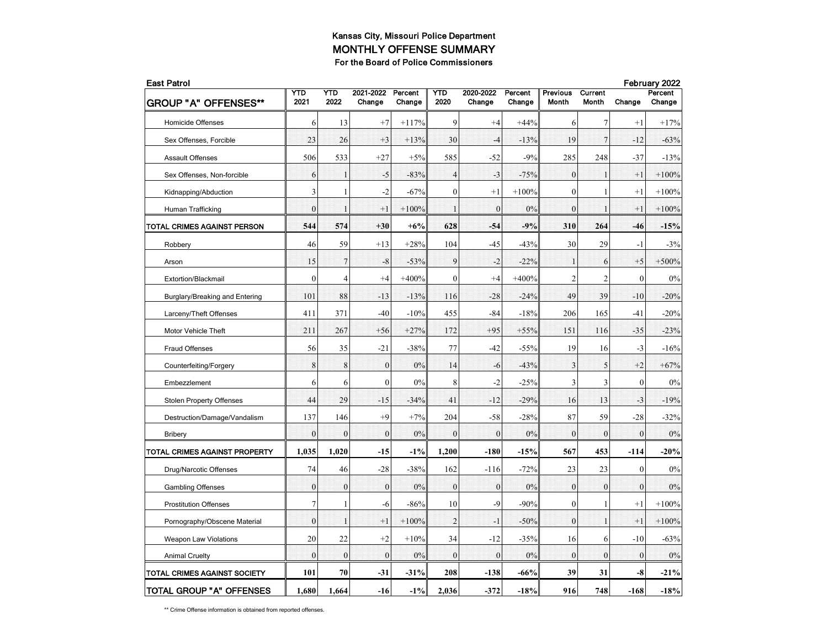| <b>East Patrol</b>              |                |                |                     |                   |                |                     |                   |                          |                                |                  | February 2022     |  |  |  |
|---------------------------------|----------------|----------------|---------------------|-------------------|----------------|---------------------|-------------------|--------------------------|--------------------------------|------------------|-------------------|--|--|--|
| <b>GROUP "A" OFFENSES**</b>     | YTD<br>2021    | YTD<br>2022    | 2021-2022<br>Change | Percent<br>Change | YTD<br>2020    | 2020-2022<br>Change | Percent<br>Change | <b>Previous</b><br>Month | <b>Current</b><br><b>Month</b> | Change           | Percent<br>Change |  |  |  |
| <b>Homicide Offenses</b>        | 6              | 13             | $+7$                | $+117%$           | 9              | $+4$                | $+44%$            | 6                        | $\tau$                         | $+1$             | $+17%$            |  |  |  |
| Sex Offenses, Forcible          | 23             | 26             | $+3$                | $+13%$            | 30             | $-4$                | $-13%$            | 19                       | $\overline{7}$                 | $-12$            | $-63%$            |  |  |  |
| <b>Assault Offenses</b>         | 506            | 533            | $+27$               | $+5%$             | 585            | $-52$               | $-9%$             | 285                      | 248                            | $-37$            | $-13%$            |  |  |  |
| Sex Offenses, Non-forcible      | 6              | 1              | $-5$                | $-83%$            | $\overline{4}$ | $-3$                | $-75%$            | $\boldsymbol{0}$         | 1                              | $+1$             | $+100%$           |  |  |  |
| Kidnapping/Abduction            | 3              | 1              | $-2$                | $-67%$            | $\mathbf{0}$   | $+1$                | $+100%$           | $\mathbf{0}$             | 1                              | $+1$             | $+100%$           |  |  |  |
| Human Trafficking               | $\mathbf{0}$   | 1              | $+1$                | $+100%$           | $\mathbf{1}$   | $\mathbf{0}$        | 0%                | $\mathbf{0}$             | $\mathbf{1}$                   | $+1$             | $+100%$           |  |  |  |
| TOTAL CRIMES AGAINST PERSON     | 544            | 574            | $+30$               | $+6%$             | 628            | -54                 | $-9%$             | 310                      | 264                            | -46              | $-15%$            |  |  |  |
| Robbery                         | 46             | 59             | $+13$               | $+28%$            | 104            | $-45$               | $-43%$            | 30                       | 29                             | $-1$             | $-3%$             |  |  |  |
| Arson                           | 15             | $\overline{7}$ | $-8$                | $-53%$            | 9              | $-2$                | $-22%$            | 1                        | 6                              | $+5$             | $+500%$           |  |  |  |
| Extortion/Blackmail             | $\mathbf{0}$   | 4              | $+4$                | $+400%$           | $\mathbf{0}$   | $+4$                | $+400%$           | 2                        | $\overline{c}$                 | $\mathbf{0}$     | $0\%$             |  |  |  |
| Burglary/Breaking and Entering  | 101            | 88             | $-13$               | $-13%$            | 116            | $-28$               | $-24%$            | 49                       | 39                             | $-10$            | $-20%$            |  |  |  |
| Larceny/Theft Offenses          | 411            | 371            | $-40$               | $-10%$            | 455            | -84                 | $-18%$            | 206                      | 165                            | -41              | $-20%$            |  |  |  |
| Motor Vehicle Theft             | 211            | 267            | $+56$               | $+27%$            | 172            | $+95$               | $+55%$            | 151                      | 116                            | $-35$            | $-23%$            |  |  |  |
| <b>Fraud Offenses</b>           | 56             | 35             | $-21$               | $-38%$            | 77             | $-42$               | $-55%$            | 19                       | 16                             | $-3$             | $-16%$            |  |  |  |
| Counterfeiting/Forgery          | 8              | 8              | $\mathbf{0}$        | 0%                | 14             | $-6$                | $-43%$            | 3                        | 5                              | $+2$             | $+67%$            |  |  |  |
| Embezzlement                    | 6              | 6              | $\mathbf{0}$        | 0%                | 8              | $-2$                | $-25%$            | 3                        | 3                              | $\mathbf{0}$     | 0%                |  |  |  |
| <b>Stolen Property Offenses</b> | 44             | 29             | $-15$               | $-34%$            | 41             | $-12$               | $-29%$            | 16                       | 13                             | $-3$             | $-19%$            |  |  |  |
| Destruction/Damage/Vandalism    | 137            | 146            | $+9$                | $+7%$             | 204            | $-58$               | $-28%$            | 87                       | 59                             | $-28$            | $-32%$            |  |  |  |
| <b>Bribery</b>                  | $\overline{0}$ | $\mathbf{0}$   | $\overline{0}$      | 0%                | $\mathbf{0}$   | $\mathbf{0}$        | 0%                | $\mathbf{0}$             | $\mathbf{0}$                   | $\theta$         | 0%                |  |  |  |
| TOTAL CRIMES AGAINST PROPERTY   | 1,035          | 1,020          | $-15$               | $-1\%$            | 1,200          | $-180$              | $-15%$            | 567                      | 453                            | $-114$           | $-20%$            |  |  |  |
| Drug/Narcotic Offenses          | 74             | 46             | $-28$               | $-38%$            | 162            | $-116$              | $-72%$            | 23                       | 23                             | $\boldsymbol{0}$ | $0\%$             |  |  |  |
| <b>Gambling Offenses</b>        | $\mathbf{0}$   | $\mathbf{0}$   | $\boldsymbol{0}$    | 0%                | $\mathbf{0}$   | $\boldsymbol{0}$    | 0%                | $\mathbf{0}$             | $\mathbf{0}$                   | $\mathbf{0}$     | 0%                |  |  |  |
| <b>Prostitution Offenses</b>    | $\overline{7}$ | 1              | -6                  | $-86%$            | 10             | $-9$                | $-90%$            | $\boldsymbol{0}$         | 1                              | $+1$             | $+100%$           |  |  |  |
| Pornography/Obscene Material    | $\mathbf{0}$   | 1              | $+1$                | $+100%$           | $\overline{2}$ | $-1$                | $-50%$            | $\mathbf{0}$             | 1                              | $+1$             | $+100%$           |  |  |  |
| <b>Weapon Law Violations</b>    | 20             | 22             | $+2$                | $+10%$            | 34             | $-12$               | $-35%$            | 16                       | 6                              | $-10$            | $-63%$            |  |  |  |
| <b>Animal Cruelty</b>           | $\mathbf{0}$   | $\mathbf{0}$   | $\theta$            | 0%                | $\theta$       | $\theta$            | 0%                | $\mathbf{0}$             | $\theta$                       | $\theta$         | 0%                |  |  |  |
| TOTAL CRIMES AGAINST SOCIETY    | 101            | 70             | $-31$               | $-31%$            | 208            | $-138$              | $-66%$            | 39                       | 31                             | -8               | $-21%$            |  |  |  |
| TOTAL GROUP "A" OFFENSES        | 1,680          | 1,664          | $-16$               | $-1%$             | 2,036          | $-372$              | $-18%$            | 916                      | 748                            | $-168$           | $-18%$            |  |  |  |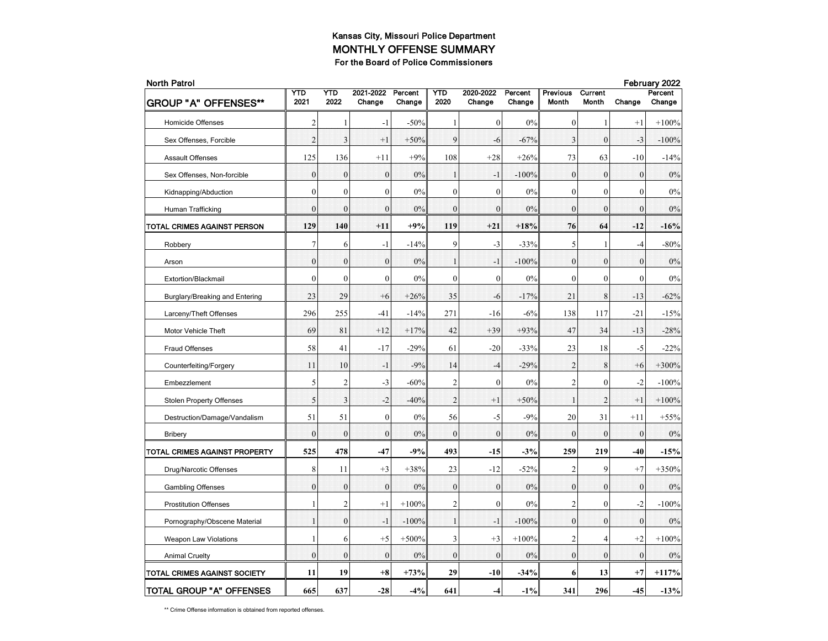| <b>North Patrol</b>             |                  |                  |                     |                   |                |                     |                   |                          |                         |                  | February 2022     |
|---------------------------------|------------------|------------------|---------------------|-------------------|----------------|---------------------|-------------------|--------------------------|-------------------------|------------------|-------------------|
| <b>GROUP "A" OFFENSES**</b>     | YTD<br>2021      | YTD<br>2022      | 2021-2022<br>Change | Percent<br>Change | YTD<br>2020    | 2020-2022<br>Change | Percent<br>Change | <b>Previous</b><br>Month | Current<br><b>Month</b> | Change           | Percent<br>Change |
| <b>Homicide Offenses</b>        | $\overline{c}$   | 1                | $-1$                | $-50%$            | 1              | $\mathbf{0}$        | 0%                | $\boldsymbol{0}$         | 1                       | $+1$             | $+100%$           |
| Sex Offenses, Forcible          | $\overline{2}$   | 3                | $+1$                | $+50%$            | 9              | $-6$                | $-67%$            | 3                        | $\mathbf{0}$            | $-3$             | $-100%$           |
| <b>Assault Offenses</b>         | 125              | 136              | $+11$               | $+9%$             | 108            | $+28$               | $+26%$            | 73                       | 63                      | $-10$            | $-14%$            |
| Sex Offenses, Non-forcible      | $\boldsymbol{0}$ | $\boldsymbol{0}$ | $\mathbf{0}$        | 0%                | $\mathbf{1}$   | $-1$                | $-100%$           | $\boldsymbol{0}$         | $\boldsymbol{0}$        | $\boldsymbol{0}$ | 0%                |
| Kidnapping/Abduction            | $\mathbf{0}$     | $\mathbf{0}$     | $\overline{0}$      | 0%                | $\mathbf{0}$   | $\mathbf{0}$        | 0%                | $\boldsymbol{0}$         | $\mathbf{0}$            | $\theta$         | 0%                |
| Human Trafficking               | $\theta$         | $\mathbf{0}$     | $\overline{0}$      | 0%                | $\mathbf{0}$   | $\mathbf{0}$        | 0%                | $\mathbf{0}$             | $\theta$                | $\theta$         | 0%                |
| TOTAL CRIMES AGAINST PERSON     | 129              | 140              | $+11$               | +9%               | 119            | $+21$               | $+18%$            | 76                       | 64                      | $-12$            | $-16%$            |
| Robbery                         | $\boldsymbol{7}$ | 6                | $-1$                | $-14%$            | 9              | $-3$                | $-33%$            | 5                        | $\mathbf{1}$            | $-4$             | $-80%$            |
| Arson                           | $\boldsymbol{0}$ | $\boldsymbol{0}$ | $\mathbf{0}$        | 0%                | $\mathbf{1}$   | $-1$                | $-100%$           | $\bf{0}$                 | $\boldsymbol{0}$        | $\boldsymbol{0}$ | 0%                |
| Extortion/Blackmail             | $\mathbf{0}$     | $\mathbf{0}$     | $\boldsymbol{0}$    | 0%                | $\mathbf{0}$   | $\boldsymbol{0}$    | 0%                | $\mathbf{0}$             | $\mathbf{0}$            | $\mathbf{0}$     | 0%                |
| Burglary/Breaking and Entering  | 23               | 29               | $+6$                | $+26%$            | 35             | $-6$                | $-17%$            | 21                       | 8                       | $-13$            | $-62%$            |
| Larceny/Theft Offenses          | 296              | 255              | $-41$               | $-14%$            | 271            | $-16$               | $-6%$             | 138                      | 117                     | $-21$            | $-15%$            |
| Motor Vehicle Theft             | 69               | 81               | $+12$               | $+17%$            | 42             | $+39$               | $+93%$            | 47                       | 34                      | $-13$            | $-28%$            |
| <b>Fraud Offenses</b>           | 58               | 41               | $-17$               | $-29%$            | 61             | $-20$               | $-33%$            | 23                       | 18                      | $-5$             | $-22%$            |
| Counterfeiting/Forgery          | 11               | 10               | $-1$                | $-9%$             | 14             | $-4$                | $-29%$            | $\boldsymbol{2}$         | 8                       | $+6$             | $+300%$           |
| Embezzlement                    | 5                | 2                | $-3$                | $-60%$            | $\overline{2}$ | $\boldsymbol{0}$    | 0%                | $\mathfrak{2}$           | $\mathbf{0}$            | $-2$             | $-100%$           |
| <b>Stolen Property Offenses</b> | 5                | 3                | $-2$                | $-40%$            | $\overline{2}$ | $+1$                | $+50%$            | $\mathbf{1}$             | $\overline{2}$          | $+1$             | $+100%$           |
| Destruction/Damage/Vandalism    | 51               | 51               | $\mathbf{0}$        | $0\%$             | 56             | -5                  | $-9%$             | 20                       | 31                      | $+11$            | $+55%$            |
| <b>Bribery</b>                  | $\overline{0}$   | $\mathbf{0}$     | $\overline{0}$      | 0%                | $\mathbf{0}$   | $\mathbf{0}$        | 0%                | $\bf{0}$                 | $\bf{0}$                | $\mathbf{0}$     | 0%                |
| TOTAL CRIMES AGAINST PROPERTY   | 525              | 478              | $-47$               | -9%               | 493            | $-15$               | $-3%$             | 259                      | 219                     | -40              | $-15%$            |
| Drug/Narcotic Offenses          | 8                | 11               | $+3$                | $+38%$            | 23             | $-12$               | $-52%$            | $\mathbf{2}$             | 9                       | $^{+7}$          | $+350%$           |
| <b>Gambling Offenses</b>        | $\mathbf{0}$     | $\boldsymbol{0}$ | $\mathbf{0}$        | 0%                | $\mathbf{0}$   | $\boldsymbol{0}$    | 0%                | $\boldsymbol{0}$         | $\mathbf{0}$            | $\boldsymbol{0}$ | 0%                |
| <b>Prostitution Offenses</b>    | 1                | $\overline{2}$   | $+1$                | $+100%$           | $\overline{2}$ | $\mathbf{0}$        | 0%                | $\mathfrak{2}$           | $\mathbf{0}$            | $-2$             | $-100%$           |
| Pornography/Obscene Material    | $\mathbf{1}$     | $\mathbf{0}$     | $-1$                | $-100%$           | $\mathbf{1}$   | $\cdot$ 1           | $-100%$           | $\mathbf{0}$             | $\mathbf{0}$            | $\mathbf{0}$     | 0%                |
| <b>Weapon Law Violations</b>    | 1                | 6                | $+5$                | $+500%$           | 3              | $+3$                | $+100%$           | 2                        | 4                       | $+2$             | $+100%$           |
| <b>Animal Cruelty</b>           | $\overline{0}$   | $\mathbf{0}$     | $\mathbf{0}$        | 0%                | $\mathbf{0}$   | $\theta$            | 0%                | $\mathbf{0}$             | $\mathbf{0}$            | $\mathbf{0}$     | 0%                |
| TOTAL CRIMES AGAINST SOCIETY    | 11               | 19               | $+8$                | $+73%$            | 29             | $-10$               | $-34%$            | 6                        | 13                      | $+7$             | $+117%$           |
| <b>TOTAL GROUP "A" OFFENSES</b> | 665              | 637              | $-28$               | $-4%$             | 641            | $-4$                | $-1\%$            | 341                      | 296                     | $-45$            | $-13%$            |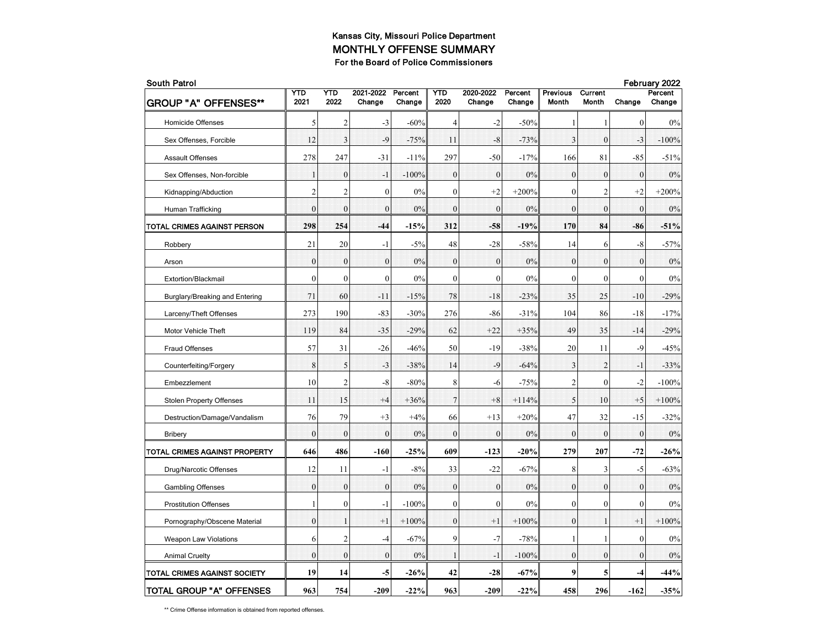| <b>South Patrol</b>             |                  |                  |                          |                   |                |                     |                   |                   |                         |              | February 2022     |  |
|---------------------------------|------------------|------------------|--------------------------|-------------------|----------------|---------------------|-------------------|-------------------|-------------------------|--------------|-------------------|--|
| <b>GROUP "A" OFFENSES**</b>     | YTD<br>2021      | YTD<br>2022      | 2021-2022<br>Change      | Percent<br>Change | YTD<br>2020    | 2020-2022<br>Change | Percent<br>Change | Previous<br>Month | Current<br><b>Month</b> | Change       | Percent<br>Change |  |
| <b>Homicide Offenses</b>        | 5                | 2                | $-3$                     | $-60%$            | $\overline{4}$ | $-2$                | $-50%$            | 1                 | 1                       | $\mathbf{0}$ | 0%                |  |
| Sex Offenses, Forcible          | 12               | 3                | -9                       | $-75%$            | 11             | $-8$                | $-73%$            | 3                 | $\boldsymbol{0}$        | $-3$         | $-100%$           |  |
| <b>Assault Offenses</b>         | 278              | 247              | $-31$                    | $-11%$            | 297            | $-50$               | $-17%$            | 166               | 81                      | $-85$        | $-51%$            |  |
| Sex Offenses, Non-forcible      | $\mathbf{1}$     | $\boldsymbol{0}$ | $\overline{\phantom{0}}$ | $-100%$           | $\mathbf{0}$   | $\mathbf{0}$        | 0%                | $\boldsymbol{0}$  | $\mathbf{0}$            | $\mathbf{0}$ | 0%                |  |
| Kidnapping/Abduction            | $\overline{2}$   | $\overline{c}$   | $\mathbf{0}$             | 0%                | $\mathbf{0}$   | $+2$                | $+200%$           | $\mathbf{0}$      | $\overline{c}$          | $+2$         | $+200%$           |  |
| Human Trafficking               | $\theta$         | $\mathbf{0}$     | $\theta$                 | 0%                | $\theta$       | $\theta$            | 0%                | $\mathbf{0}$      | $\theta$                | $\theta$     | 0%                |  |
| TOTAL CRIMES AGAINST PERSON     | 298              | 254              | $-44$                    | $-15%$            | 312            | -58                 | $-19%$            | 170               | 84                      | -86          | $-51%$            |  |
| Robbery                         | 21               | 20               | $-1$                     | $-5%$             | 48             | $-28$               | $-58%$            | 14                | 6                       | -8           | $-57%$            |  |
| Arson                           | $\boldsymbol{0}$ | $\boldsymbol{0}$ | $\mathbf{0}$             | 0%                | $\mathbf{0}$   | $\mathbf{0}$        | $0\%$             | $\boldsymbol{0}$  | $\mathbf{0}$            | $\mathbf{0}$ | 0%                |  |
| Extortion/Blackmail             | $\mathbf{0}$     | $\mathbf{0}$     | $\mathbf{0}$             | 0%                | $\mathbf{0}$   | $\mathbf{0}$        | 0%                | $\mathbf{0}$      | $\mathbf{0}$            | $\mathbf{0}$ | 0%                |  |
| Burglary/Breaking and Entering  | 71               | 60               | $-11$                    | $-15%$            | 78             | $-18$               | $-23%$            | 35                | 25                      | $-10$        | $-29%$            |  |
| Larceny/Theft Offenses          | 273              | 190              | $-83$                    | $-30%$            | 276            | $-86$               | $-31%$            | 104               | 86                      | $-18$        | $-17%$            |  |
| Motor Vehicle Theft             | 119              | 84               | $-35$                    | $-29%$            | 62             | $+22$               | $+35%$            | 49                | 35                      | $-14$        | $-29%$            |  |
| <b>Fraud Offenses</b>           | 57               | 31               | $-26$                    | $-46%$            | 50             | $-19$               | $-38%$            | 20                | 11                      | $-9$         | $-45%$            |  |
| Counterfeiting/Forgery          | 8                | 5                | $-3$                     | $-38%$            | 14             | -9                  | $-64%$            | 3                 | $\overline{2}$          | $-1$         | $-33%$            |  |
| Embezzlement                    | 10               | $\overline{2}$   | $-8$                     | $-80%$            | 8              | -6                  | $-75%$            | 2                 | $\mathbf{0}$            | -2           | $-100%$           |  |
| <b>Stolen Property Offenses</b> | 11               | 15               | $+4$                     | $+36%$            | $\overline{7}$ | $+8$                | $+114%$           | 5                 | 10                      | $+5$         | $+100%$           |  |
| Destruction/Damage/Vandalism    | 76               | 79               | $+3$                     | $+4%$             | 66             | $+13$               | $+20%$            | 47                | 32                      | $-15$        | $-32%$            |  |
| <b>Bribery</b>                  | $\bf{0}$         | $\mathbf{0}$     | $\overline{0}$           | 0%                | $\mathbf{0}$   | $\mathbf{0}$        | 0%                | $\mathbf{0}$      | $\mathbf{0}$            | $\mathbf{0}$ | 0%                |  |
| TOTAL CRIMES AGAINST PROPERTY   | 646              | 486              | $-160$                   | $-25%$            | 609            | $-123$              | $-20%$            | 279               | 207                     | $-72$        | $-26%$            |  |
| Drug/Narcotic Offenses          | 12               | 11               | $-1$                     | $-8%$             | 33             | $-22$               | $-67%$            | 8                 | 3                       | -5           | $-63%$            |  |
| <b>Gambling Offenses</b>        | $\Omega$         | $\mathbf{0}$     | $\mathbf{0}$             | 0%                | $\theta$       | $\mathbf{0}$        | 0%                | $\mathbf{0}$      | $\mathbf{0}$            | $\theta$     | 0%                |  |
| <b>Prostitution Offenses</b>    | 1                | $\boldsymbol{0}$ | $-1$                     | $-100%$           | $\mathbf{0}$   | $\mathbf{0}$        | 0%                | $\boldsymbol{0}$  | $\mathbf{0}$            | $\theta$     | 0%                |  |
| Pornography/Obscene Material    | $\mathbf{0}$     | $\mathbf{1}$     | $+1$                     | $+100%$           | $\mathbf{0}$   | $+1$                | $+100%$           | $\mathbf{0}$      | $\mathbf{1}$            | $+1$         | $+100%$           |  |
| <b>Weapon Law Violations</b>    | 6                | $\overline{c}$   | $-4$                     | $-67%$            | 9              | $-7$                | $-78%$            | 1                 | $\mathbf{1}$            | $\mathbf{0}$ | 0%                |  |
| <b>Animal Cruelty</b>           | $\theta$         | $\mathbf{0}$     | $\theta$                 | 0%                | $\mathbf{1}$   | $-1$                | $-100%$           | $\mathbf{0}$      | $\theta$                | $\theta$     | 0%                |  |
| TOTAL CRIMES AGAINST SOCIETY    | 19               | 14               | $-5$                     | $-26%$            | 42             | $-28$               | $-67%$            | 9                 | 5                       | -4           | $-44%$            |  |
| TOTAL GROUP "A" OFFENSES        | 963              | 754              | $-209$                   | $-22%$            | 963            | $-209$              | $-22%$            | 458               | 296                     | $-162$       | $-35%$            |  |